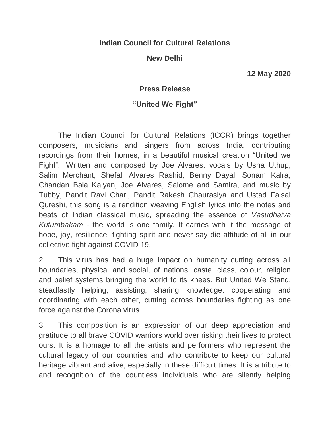## **Indian Council for Cultural Relations**

## **New Delhi**

**12 May 2020**

## **Press Release**

## **"United We Fight"**

The Indian Council for Cultural Relations (ICCR) brings together composers, musicians and singers from across India, contributing recordings from their homes, in a beautiful musical creation "United we Fight". Written and composed by Joe Alvares, vocals by Usha Uthup, Salim Merchant, Shefali Alvares Rashid, Benny Dayal, Sonam Kalra, Chandan Bala Kalyan, Joe Alvares, Salome and Samira, and music by Tubby, Pandit Ravi Chari, Pandit Rakesh Chaurasiya and Ustad Faisal Qureshi, this song is a rendition weaving English lyrics into the notes and beats of Indian classical music, spreading the essence of *Vasudhaiva Kutumbakam* - the world is one family. It carries with it the message of hope, joy, resilience, fighting spirit and never say die attitude of all in our collective fight against COVID 19.

2. This virus has had a huge impact on humanity cutting across all boundaries, physical and social, of nations, caste, class, colour, religion and belief systems bringing the world to its knees. But United We Stand, steadfastly helping, assisting, sharing knowledge, cooperating and coordinating with each other, cutting across boundaries fighting as one force against the Corona virus.

3. This composition is an expression of our deep appreciation and gratitude to all brave COVID warriors world over risking their lives to protect ours. It is a homage to all the artists and performers who represent the cultural legacy of our countries and who contribute to keep our cultural heritage vibrant and alive, especially in these difficult times. It is a tribute to and recognition of the countless individuals who are silently helping